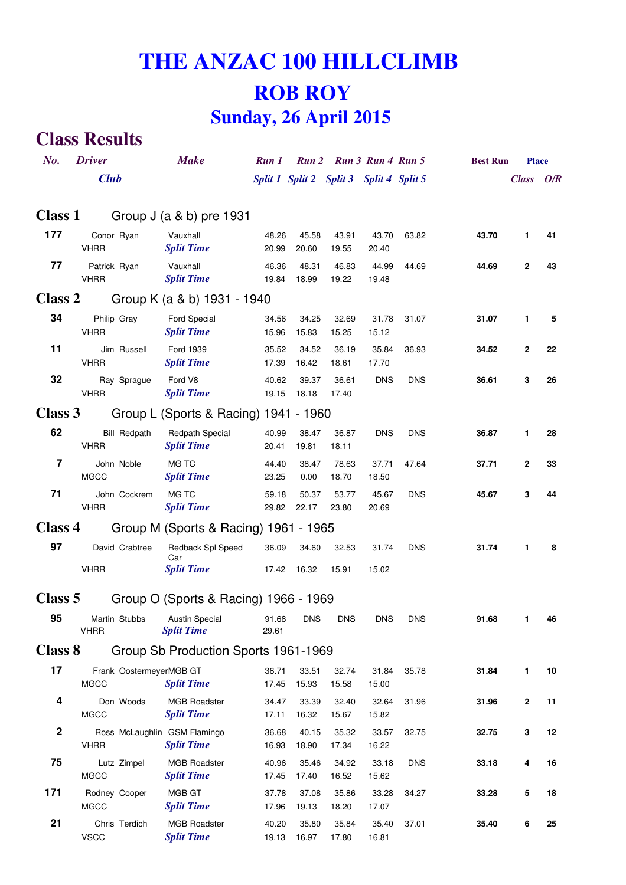# **THE ANZAC 100 HILLCLIMB ROB ROY Sunday, 26 April 2015**

### **Class Results**

| No.              | <b>Driver</b>                               | <b>Make</b>                                | Run 1          |                | Run 2 Run 3 Run 4 Run 5                 |                     |            | <b>Best Run</b> | <b>Place</b> |     |
|------------------|---------------------------------------------|--------------------------------------------|----------------|----------------|-----------------------------------------|---------------------|------------|-----------------|--------------|-----|
|                  | <b>Club</b>                                 |                                            |                |                | Split 1 Split 2 Split 3 Split 4 Split 5 |                     |            |                 | <b>Class</b> | O/R |
|                  |                                             |                                            |                |                |                                         |                     |            |                 |              |     |
| <b>Class 1</b>   |                                             | Group $J$ (a & b) pre 1931                 |                |                |                                         |                     |            |                 |              |     |
| 177              | Conor Ryan<br><b>VHRR</b>                   | Vauxhall                                   | 48.26          | 45.58          | 43.91                                   | 43.70               | 63.82      | 43.70           | 1.           | 41  |
| 77               | Patrick Ryan                                | <b>Split Time</b><br>Vauxhall              | 20.99<br>46.36 | 20.60<br>48.31 | 19.55<br>46.83                          | 20.40<br>44.99      | 44.69      | 44.69           | $\mathbf{2}$ | 43  |
|                  | <b>VHRR</b>                                 | <b>Split Time</b>                          | 19.84          | 18.99          | 19.22                                   | 19.48               |            |                 |              |     |
| Class 2          |                                             | Group K (a & b) 1931 - 1940                |                |                |                                         |                     |            |                 |              |     |
| 34               | Philip Gray                                 | <b>Ford Special</b>                        | 34.56          | 34.25          | 32.69                                   | 31.78               | 31.07      | 31.07           | 1.           | 5   |
|                  | <b>VHRR</b>                                 | <b>Split Time</b>                          | 15.96          | 15.83          | 15.25                                   | 15.12               |            |                 |              |     |
| 11               | Jim Russell                                 | Ford 1939<br><b>Split Time</b>             | 35.52          | 34.52          | 36.19                                   | 35.84               | 36.93      | 34.52           | $\mathbf{2}$ | 22  |
| 32               | <b>VHRR</b><br>Ray Sprague                  | Ford V8                                    | 17.39<br>40.62 | 16.42<br>39.37 | 18.61<br>36.61                          | 17.70<br><b>DNS</b> | <b>DNS</b> | 36.61           | 3            | 26  |
|                  | <b>VHRR</b>                                 | <b>Split Time</b>                          | 19.15          | 18.18          | 17.40                                   |                     |            |                 |              |     |
| Class 3          |                                             | Group L (Sports & Racing) 1941 - 1960      |                |                |                                         |                     |            |                 |              |     |
| 62               | <b>Bill Redpath</b>                         | Redpath Special                            | 40.99          | 38.47          | 36.87                                   | <b>DNS</b>          | <b>DNS</b> | 36.87           | 1            | 28  |
|                  | <b>VHRR</b>                                 | <b>Split Time</b>                          | 20.41          | 19.81          | 18.11                                   |                     |            |                 |              |     |
| $\overline{7}$   | John Noble<br><b>MGCC</b>                   | MG TC<br><b>Split Time</b>                 | 44.40<br>23.25 | 38.47<br>0.00  | 78.63<br>18.70                          | 37.71<br>18.50      | 47.64      | 37.71           | $\mathbf{2}$ | 33  |
| 71               | John Cockrem                                | MG TC                                      | 59.18          | 50.37          | 53.77                                   | 45.67               | <b>DNS</b> | 45.67           | 3            | 44  |
|                  | <b>VHRR</b>                                 | <b>Split Time</b>                          | 29.82          | 22.17          | 23.80                                   | 20.69               |            |                 |              |     |
| <b>Class 4</b>   |                                             | Group M (Sports & Racing) 1961 - 1965      |                |                |                                         |                     |            |                 |              |     |
| 97               | David Crabtree                              | Redback Spl Speed                          | 36.09          | 34.60          | 32.53                                   | 31.74               | <b>DNS</b> | 31.74           | 1.           | 8   |
|                  | <b>VHRR</b>                                 | Car<br><b>Split Time</b>                   | 17.42          | 16.32          | 15.91                                   | 15.02               |            |                 |              |     |
|                  |                                             |                                            |                |                |                                         |                     |            |                 |              |     |
| Class 5          |                                             | Group O (Sports & Racing) 1966 - 1969      |                |                |                                         |                     |            |                 |              |     |
| 95               | Martin Stubbs<br><b>VHRR</b>                | <b>Austin Special</b><br><b>Split Time</b> | 91.68<br>29.61 | <b>DNS</b>     | <b>DNS</b>                              | <b>DNS</b>          | <b>DNS</b> | 91.68           | 1            | 46  |
| <b>Class 8</b>   |                                             | Group Sb Production Sports 1961-1969       |                |                |                                         |                     |            |                 |              |     |
| 17               |                                             |                                            |                |                |                                         |                     |            |                 |              |     |
|                  | Frank OostermeyerMGB GT<br><b>MGCC</b>      | <b>Split Time</b>                          | 36.71<br>17.45 | 33.51<br>15.93 | 32.74<br>15.58                          | 31.84<br>15.00      | 35.78      | 31.84           | 1.           | 10  |
| 4                | Don Woods                                   | <b>MGB Roadster</b>                        | 34.47          | 33.39          | 32.40                                   | 32.64               | 31.96      | 31.96           | $\mathbf{2}$ | 11  |
|                  | <b>MGCC</b>                                 | <b>Split Time</b>                          | 17.11          | 16.32          | 15.67                                   | 15.82               |            |                 |              |     |
| $\boldsymbol{2}$ | Ross McLaughlin GSM Flamingo<br><b>VHRR</b> | <b>Split Time</b>                          | 36.68<br>16.93 | 40.15<br>18.90 | 35.32<br>17.34                          | 33.57<br>16.22      | 32.75      | 32.75           | 3            | 12  |
| 75               | Lutz Zimpel                                 | <b>MGB Roadster</b>                        | 40.96          | 35.46          | 34.92                                   | 33.18               | <b>DNS</b> | 33.18           | 4            | 16  |
|                  | <b>MGCC</b>                                 | <b>Split Time</b>                          | 17.45          | 17.40          | 16.52                                   | 15.62               |            |                 |              |     |
| 171              | Rodney Cooper                               | MGB GT                                     | 37.78          | 37.08          | 35.86                                   | 33.28               | 34.27      | 33.28           | 5            | 18  |
|                  | <b>MGCC</b>                                 | <b>Split Time</b>                          | 17.96          | 19.13          | 18.20                                   | 17.07               |            |                 |              |     |
| 21               | Chris Terdich<br><b>VSCC</b>                | <b>MGB Roadster</b><br><b>Split Time</b>   | 40.20<br>19.13 | 35.80<br>16.97 | 35.84<br>17.80                          | 35.40<br>16.81      | 37.01      | 35.40           | 6            | 25  |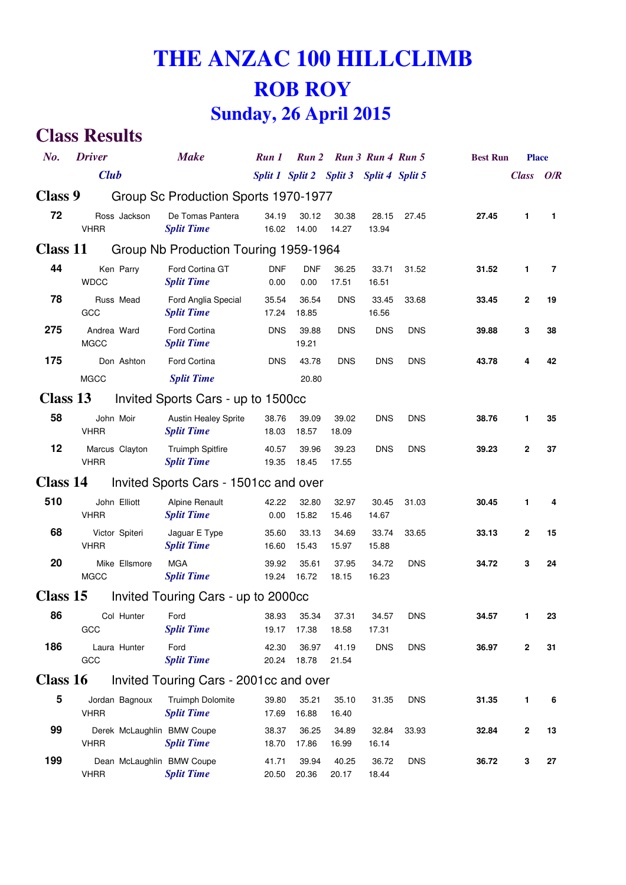# **THE ANZAC 100 HILLCLIMB ROB ROY Sunday, 26 April 2015**

#### **Class Results**

| No.      | <b>Driver</b>                             | <b>Make</b>                                      | Run 1                                   |                    |                | Run 2 Run 3 Run 4 Run 5 |            | <b>Best Run</b> | <b>Place</b> |              |
|----------|-------------------------------------------|--------------------------------------------------|-----------------------------------------|--------------------|----------------|-------------------------|------------|-----------------|--------------|--------------|
|          | <b>Club</b>                               |                                                  | Split 1 Split 2 Split 3 Split 4 Split 5 |                    |                |                         |            |                 | <b>Class</b> | O/R          |
| Class 9  |                                           | Group Sc Production Sports 1970-1977             |                                         |                    |                |                         |            |                 |              |              |
| 72       | Ross Jackson<br><b>VHRR</b>               | De Tomas Pantera<br><b>Split Time</b>            | 34.19<br>16.02                          | 30.12<br>14.00     | 30.38<br>14.27 | 28.15<br>13.94          | 27.45      | 27.45           | 1            | $\mathbf{1}$ |
| Class 11 |                                           | Group Nb Production Touring 1959-1964            |                                         |                    |                |                         |            |                 |              |              |
| 44       | Ken Parry<br><b>WDCC</b>                  | Ford Cortina GT<br><b>Split Time</b>             | <b>DNF</b><br>0.00                      | <b>DNF</b><br>0.00 | 36.25<br>17.51 | 33.71<br>16.51          | 31.52      | 31.52           | 1            | 7            |
| 78       | Russ Mead<br>GCC                          | Ford Anglia Special<br><b>Split Time</b>         | 35.54<br>17.24                          | 36.54<br>18.85     | <b>DNS</b>     | 33.45<br>16.56          | 33.68      | 33.45           | $\mathbf{2}$ | 19           |
| 275      | Andrea Ward<br><b>MGCC</b>                | Ford Cortina<br><b>Split Time</b>                | <b>DNS</b>                              | 39.88<br>19.21     | <b>DNS</b>     | <b>DNS</b>              | <b>DNS</b> | 39.88           | 3            | 38           |
| 175      | Don Ashton                                | Ford Cortina                                     | <b>DNS</b>                              | 43.78              | <b>DNS</b>     | <b>DNS</b>              | <b>DNS</b> | 43.78           | 4            | 42           |
|          | <b>MGCC</b>                               | <b>Split Time</b>                                |                                         | 20.80              |                |                         |            |                 |              |              |
| Class 13 |                                           | Invited Sports Cars - up to 1500cc               |                                         |                    |                |                         |            |                 |              |              |
| 58       | John Moir<br><b>VHRR</b>                  | <b>Austin Healey Sprite</b><br><b>Split Time</b> | 38.76<br>18.03                          | 39.09<br>18.57     | 39.02<br>18.09 | <b>DNS</b>              | <b>DNS</b> | 38.76           | 1            | 35           |
| 12       | Marcus Clayton<br><b>VHRR</b>             | <b>Truimph Spitfire</b><br><b>Split Time</b>     | 40.57<br>19.35                          | 39.96<br>18.45     | 39.23<br>17.55 | <b>DNS</b>              | <b>DNS</b> | 39.23           | $\mathbf{2}$ | 37           |
| Class 14 |                                           | Invited Sports Cars - 1501cc and over            |                                         |                    |                |                         |            |                 |              |              |
| 510      | John Elliott<br><b>VHRR</b>               | <b>Alpine Renault</b><br><b>Split Time</b>       | 42.22<br>0.00                           | 32.80<br>15.82     | 32.97<br>15.46 | 30.45<br>14.67          | 31.03      | 30.45           | 1.           | 4            |
| 68       | Victor Spiteri<br><b>VHRR</b>             | Jaguar E Type<br><b>Split Time</b>               | 35.60<br>16.60                          | 33.13<br>15.43     | 34.69<br>15.97 | 33.74<br>15.88          | 33.65      | 33.13           | $\mathbf{2}$ | 15           |
| 20       | Mike Ellsmore<br><b>MGCC</b>              | <b>MGA</b><br><b>Split Time</b>                  | 39.92<br>19.24                          | 35.61<br>16.72     | 37.95<br>18.15 | 34.72<br>16.23          | <b>DNS</b> | 34.72           | 3            | 24           |
| Class 15 |                                           | Invited Touring Cars - up to 2000cc              |                                         |                    |                |                         |            |                 |              |              |
| 86       | Col Hunter<br>GCC                         | Ford<br><b>Split Time</b>                        | 38.93<br>19.17                          | 35.34<br>17.38     | 37.31<br>18.58 | 34.57<br>17.31          | <b>DNS</b> | 34.57           | 1            | 23           |
| 186      | Laura Hunter<br>GCC                       | Ford<br><b>Split Time</b>                        | 42.30<br>20.24                          | 36.97<br>18.78     | 41.19<br>21.54 | <b>DNS</b>              | <b>DNS</b> | 36.97           | $\mathbf{2}$ | 31           |
| Class 16 |                                           | Invited Touring Cars - 2001cc and over           |                                         |                    |                |                         |            |                 |              |              |
| 5        | Jordan Bagnoux<br><b>VHRR</b>             | Truimph Dolomite<br><b>Split Time</b>            | 39.80<br>17.69                          | 35.21<br>16.88     | 35.10<br>16.40 | 31.35                   | <b>DNS</b> | 31.35           | 1            | 6            |
| 99       | Derek McLaughlin BMW Coupe<br><b>VHRR</b> | <b>Split Time</b>                                | 38.37<br>18.70                          | 36.25<br>17.86     | 34.89<br>16.99 | 32.84<br>16.14          | 33.93      | 32.84           | $\mathbf{2}$ | 13           |
| 199      | Dean McLaughlin BMW Coupe<br><b>VHRR</b>  | <b>Split Time</b>                                | 41.71<br>20.50                          | 39.94<br>20.36     | 40.25<br>20.17 | 36.72<br>18.44          | <b>DNS</b> | 36.72           | 3            | 27           |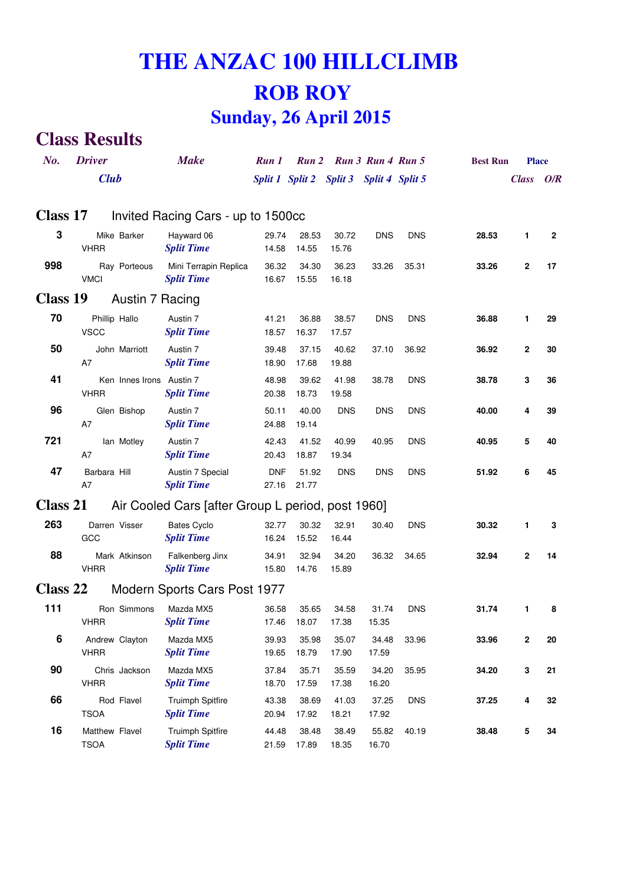## **THE ANZAC 100 HILLCLIMB ROB ROY Sunday, 26 April 2015**

### **Class Results**

| No.             | <b>Driver</b>                           | <b>Make</b>                                       | Run 1               |                                         | Run 2 Run 3 Run 4 Run 5 |                |            | <b>Best Run</b> | <b>Place</b> |              |
|-----------------|-----------------------------------------|---------------------------------------------------|---------------------|-----------------------------------------|-------------------------|----------------|------------|-----------------|--------------|--------------|
|                 | <b>Club</b>                             |                                                   |                     | Split 1 Split 2 Split 3 Split 4 Split 5 |                         |                |            |                 | <b>Class</b> | O/R          |
| Class 17        |                                         | Invited Racing Cars - up to 1500cc                |                     |                                         |                         |                |            |                 |              |              |
| 3               | Mike Barker<br><b>VHRR</b>              | Hayward 06<br><b>Split Time</b>                   | 29.74<br>14.58      | 28.53<br>14.55                          | 30.72<br>15.76          | <b>DNS</b>     | <b>DNS</b> | 28.53           | 1            | $\mathbf{2}$ |
| 998             | Ray Porteous<br><b>VMCI</b>             | Mini Terrapin Replica<br><b>Split Time</b>        | 36.32<br>16.67      | 34.30<br>15.55                          | 36.23<br>16.18          | 33.26          | 35.31      | 33.26           | $\mathbf 2$  | 17           |
| Class 19        | Austin 7 Racing                         |                                                   |                     |                                         |                         |                |            |                 |              |              |
| 70              | Phillip Hallo<br><b>VSCC</b>            | Austin 7<br><b>Split Time</b>                     | 41.21<br>18.57      | 36.88<br>16.37                          | 38.57<br>17.57          | <b>DNS</b>     | <b>DNS</b> | 36.88           | 1            | 29           |
| 50              | John Marriott<br>A7                     | Austin 7<br><b>Split Time</b>                     | 39.48<br>18.90      | 37.15<br>17.68                          | 40.62<br>19.88          | 37.10          | 36.92      | 36.92           | $\mathbf{2}$ | 30           |
| 41              | Ken Innes Irons Austin 7<br><b>VHRR</b> | <b>Split Time</b>                                 | 48.98<br>20.38      | 39.62<br>18.73                          | 41.98<br>19.58          | 38.78          | <b>DNS</b> | 38.78           | 3            | 36           |
| 96              | Glen Bishop<br>A7                       | Austin 7<br><b>Split Time</b>                     | 50.11<br>24.88      | 40.00<br>19.14                          | <b>DNS</b>              | <b>DNS</b>     | <b>DNS</b> | 40.00           | 4            | 39           |
| 721             | lan Motley<br>A7                        | Austin 7<br><b>Split Time</b>                     | 42.43<br>20.43      | 41.52<br>18.87                          | 40.99<br>19.34          | 40.95          | <b>DNS</b> | 40.95           | 5            | 40           |
| 47              | Barbara Hill<br>A7                      | Austin 7 Special<br><b>Split Time</b>             | <b>DNF</b><br>27.16 | 51.92<br>21.77                          | <b>DNS</b>              | <b>DNS</b>     | <b>DNS</b> | 51.92           | 6            | 45           |
| Class 21        |                                         | Air Cooled Cars [after Group L period, post 1960] |                     |                                         |                         |                |            |                 |              |              |
| 263             | Darren Visser<br>GCC                    | <b>Bates Cyclo</b><br><b>Split Time</b>           | 32.77<br>16.24      | 30.32<br>15.52                          | 32.91<br>16.44          | 30.40          | <b>DNS</b> | 30.32           | 1            | 3            |
| 88              | Mark Atkinson<br><b>VHRR</b>            | Falkenberg Jinx<br><b>Split Time</b>              | 34.91<br>15.80      | 32.94<br>14.76                          | 34.20<br>15.89          | 36.32          | 34.65      | 32.94           | $\mathbf{2}$ | 14           |
| <b>Class 22</b> |                                         | Modern Sports Cars Post 1977                      |                     |                                         |                         |                |            |                 |              |              |
| 111             | Ron Simmons<br><b>VHRR</b>              | Mazda MX5<br><b>Split Time</b>                    | 36.58<br>17.46      | 35.65<br>18.07                          | 34.58<br>17.38          | 31.74<br>15.35 | <b>DNS</b> | 31.74           | 1            | 8            |
| 6               | Andrew Clayton<br><b>VHRR</b>           | Mazda MX5<br><b>Split Time</b>                    | 39.93<br>19.65      | 35.98<br>18.79                          | 35.07<br>17.90          | 34.48<br>17.59 | 33.96      | 33.96           | $\mathbf 2$  | 20           |
| 90              | Chris Jackson<br><b>VHRR</b>            | Mazda MX5<br><b>Split Time</b>                    | 37.84<br>18.70      | 35.71<br>17.59                          | 35.59<br>17.38          | 34.20<br>16.20 | 35.95      | 34.20           | 3            | 21           |
| 66              | Rod Flavel<br><b>TSOA</b>               | Truimph Spitfire<br><b>Split Time</b>             | 43.38<br>20.94      | 38.69<br>17.92                          | 41.03<br>18.21          | 37.25<br>17.92 | <b>DNS</b> | 37.25           | 4            | 32           |
| 16              | Matthew Flavel<br><b>TSOA</b>           | Truimph Spitfire<br><b>Split Time</b>             | 44.48<br>21.59      | 38.48<br>17.89                          | 38.49<br>18.35          | 55.82<br>16.70 | 40.19      | 38.48           | 5            | 34           |